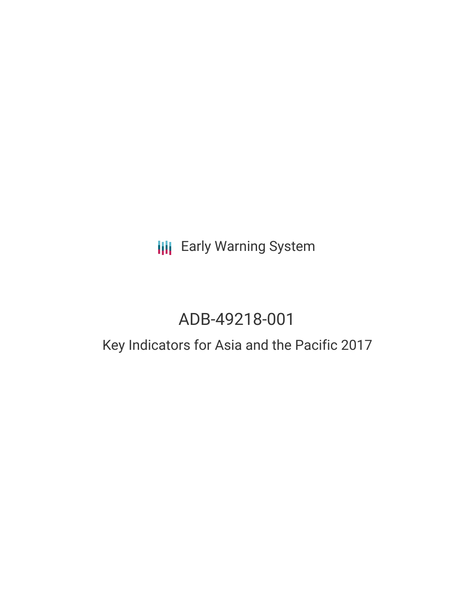# **III** Early Warning System

# ADB-49218-001

## Key Indicators for Asia and the Pacific 2017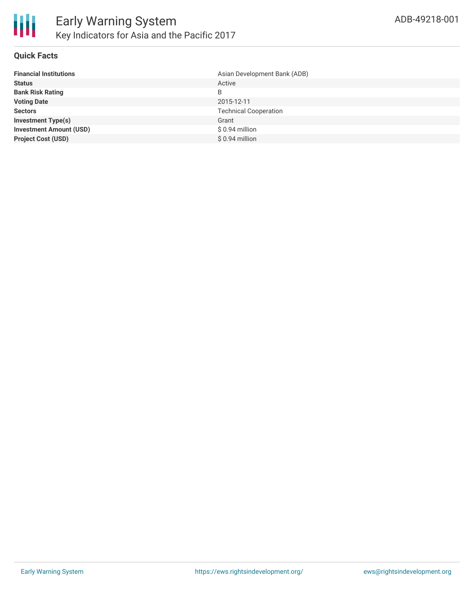

#### **Quick Facts**

| Asian Development Bank (ADB) |
|------------------------------|
| Active                       |
| B                            |
| 2015-12-11                   |
| <b>Technical Cooperation</b> |
| Grant                        |
| \$0.94 million               |
| $$0.94$ million              |
|                              |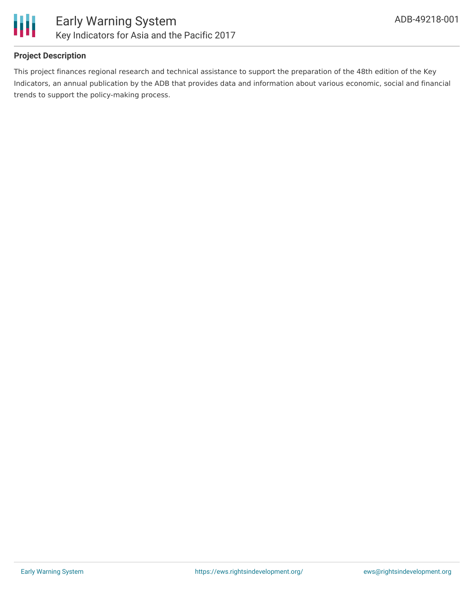

#### **Project Description**

This project finances regional research and technical assistance to support the preparation of the 48th edition of the Key Indicators, an annual publication by the ADB that provides data and information about various economic, social and financial trends to support the policy-making process.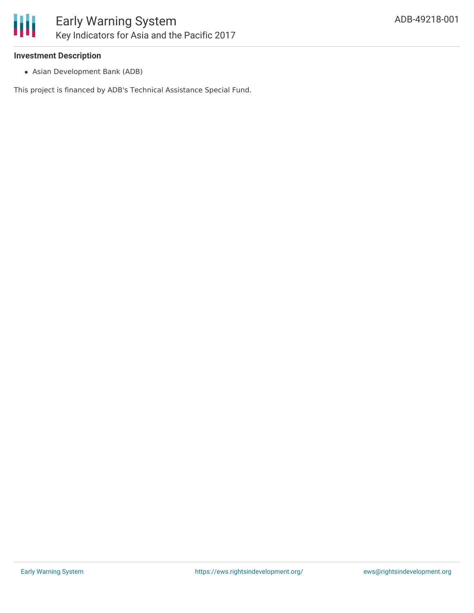

#### **Investment Description**

Asian Development Bank (ADB)

This project is financed by ADB's Technical Assistance Special Fund.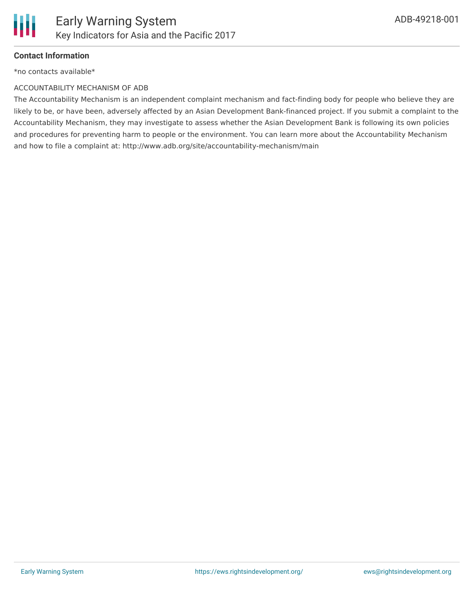

#### **Contact Information**

\*no contacts available\*

#### ACCOUNTABILITY MECHANISM OF ADB

The Accountability Mechanism is an independent complaint mechanism and fact-finding body for people who believe they are likely to be, or have been, adversely affected by an Asian Development Bank-financed project. If you submit a complaint to the Accountability Mechanism, they may investigate to assess whether the Asian Development Bank is following its own policies and procedures for preventing harm to people or the environment. You can learn more about the Accountability Mechanism and how to file a complaint at: http://www.adb.org/site/accountability-mechanism/main